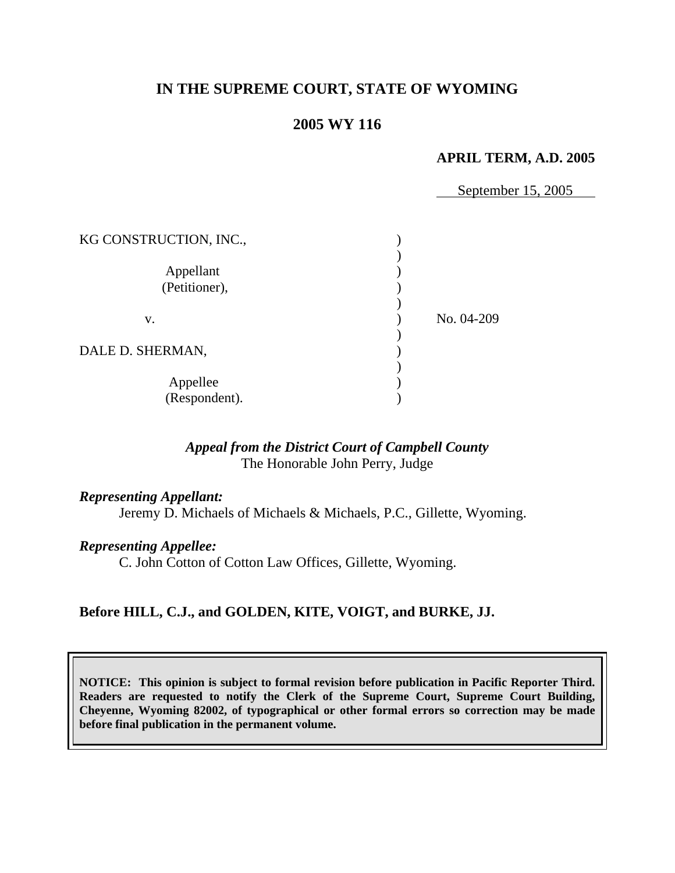# **IN THE SUPREME COURT, STATE OF WYOMING**

## **2005 WY 116**

#### **APRIL TERM, A.D. 2005**

September 15, 2005

| KG CONSTRUCTION, INC.,     |            |
|----------------------------|------------|
| Appellant<br>(Petitioner), |            |
| v.                         | No. 04-209 |
| DALE D. SHERMAN,           |            |
| Appellee<br>(Respondent).  |            |

#### *Appeal from the District Court of Campbell County* The Honorable John Perry, Judge

### *Representing Appellant:*

Jeremy D. Michaels of Michaels & Michaels, P.C., Gillette, Wyoming.

#### *Representing Appellee:*

C. John Cotton of Cotton Law Offices, Gillette, Wyoming.

## **Before HILL, C.J., and GOLDEN, KITE, VOIGT, and BURKE, JJ.**

**NOTICE: This opinion is subject to formal revision before publication in Pacific Reporter Third. Readers are requested to notify the Clerk of the Supreme Court, Supreme Court Building, Cheyenne, Wyoming 82002, of typographical or other formal errors so correction may be made before final publication in the permanent volume.**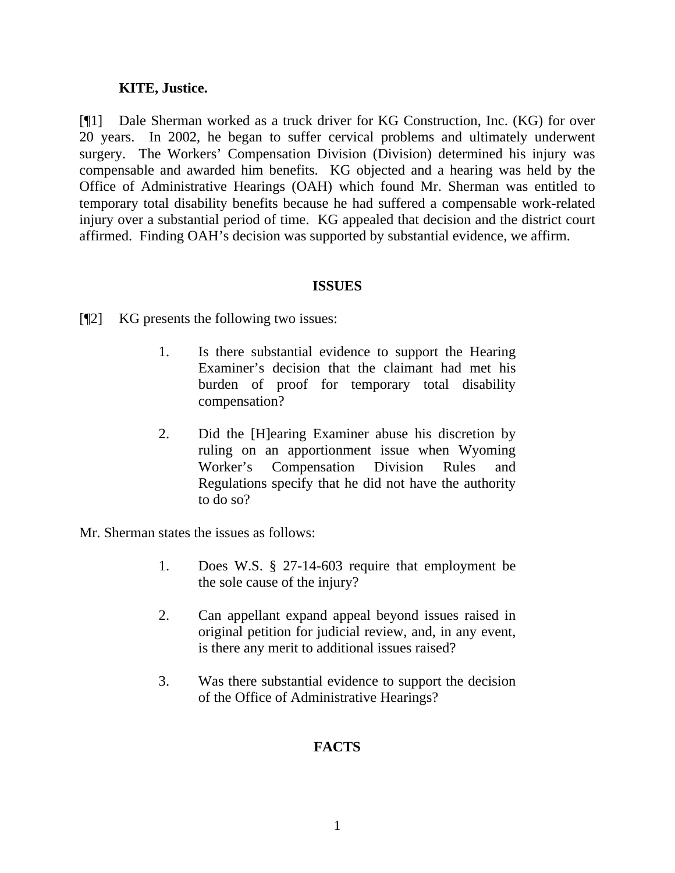### **KITE, Justice.**

[¶1] Dale Sherman worked as a truck driver for KG Construction, Inc. (KG) for over 20 years. In 2002, he began to suffer cervical problems and ultimately underwent surgery. The Workers' Compensation Division (Division) determined his injury was compensable and awarded him benefits. KG objected and a hearing was held by the Office of Administrative Hearings (OAH) which found Mr. Sherman was entitled to temporary total disability benefits because he had suffered a compensable work-related injury over a substantial period of time. KG appealed that decision and the district court affirmed. Finding OAH's decision was supported by substantial evidence, we affirm.

#### **ISSUES**

[¶2] KG presents the following two issues:

- 1. Is there substantial evidence to support the Hearing Examiner's decision that the claimant had met his burden of proof for temporary total disability compensation?
- 2. Did the [H]earing Examiner abuse his discretion by ruling on an apportionment issue when Wyoming Worker's Compensation Division Rules and Regulations specify that he did not have the authority to do so?

Mr. Sherman states the issues as follows:

- 1. Does W.S. § 27-14-603 require that employment be the sole cause of the injury?
- 2. Can appellant expand appeal beyond issues raised in original petition for judicial review, and, in any event, is there any merit to additional issues raised?
- 3. Was there substantial evidence to support the decision of the Office of Administrative Hearings?

## **FACTS**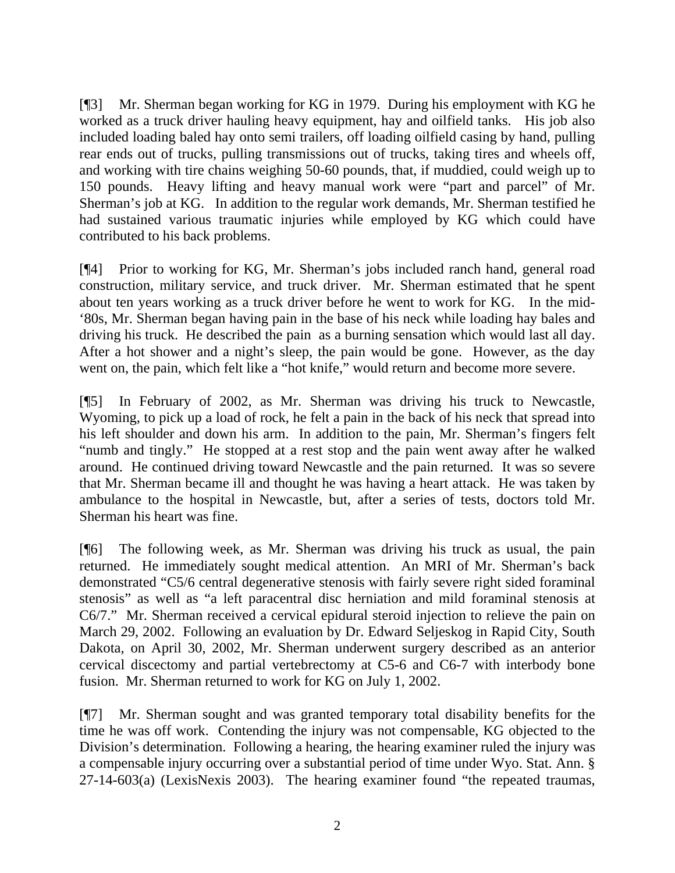[¶3] Mr. Sherman began working for KG in 1979. During his employment with KG he worked as a truck driver hauling heavy equipment, hay and oilfield tanks. His job also included loading baled hay onto semi trailers, off loading oilfield casing by hand, pulling rear ends out of trucks, pulling transmissions out of trucks, taking tires and wheels off, and working with tire chains weighing 50-60 pounds, that, if muddied, could weigh up to 150 pounds. Heavy lifting and heavy manual work were "part and parcel" of Mr. Sherman's job at KG. In addition to the regular work demands, Mr. Sherman testified he had sustained various traumatic injuries while employed by KG which could have contributed to his back problems.

[¶4] Prior to working for KG, Mr. Sherman's jobs included ranch hand, general road construction, military service, and truck driver. Mr. Sherman estimated that he spent about ten years working as a truck driver before he went to work for KG. In the mid- '80s, Mr. Sherman began having pain in the base of his neck while loading hay bales and driving his truck. He described the pain as a burning sensation which would last all day. After a hot shower and a night's sleep, the pain would be gone. However, as the day went on, the pain, which felt like a "hot knife," would return and become more severe.

[¶5] In February of 2002, as Mr. Sherman was driving his truck to Newcastle, Wyoming, to pick up a load of rock, he felt a pain in the back of his neck that spread into his left shoulder and down his arm. In addition to the pain, Mr. Sherman's fingers felt "numb and tingly." He stopped at a rest stop and the pain went away after he walked around. He continued driving toward Newcastle and the pain returned. It was so severe that Mr. Sherman became ill and thought he was having a heart attack. He was taken by ambulance to the hospital in Newcastle, but, after a series of tests, doctors told Mr. Sherman his heart was fine.

[¶6] The following week, as Mr. Sherman was driving his truck as usual, the pain returned. He immediately sought medical attention. An MRI of Mr. Sherman's back demonstrated "C5/6 central degenerative stenosis with fairly severe right sided foraminal stenosis" as well as "a left paracentral disc herniation and mild foraminal stenosis at C6/7." Mr. Sherman received a cervical epidural steroid injection to relieve the pain on March 29, 2002. Following an evaluation by Dr. Edward Seljeskog in Rapid City, South Dakota, on April 30, 2002, Mr. Sherman underwent surgery described as an anterior cervical discectomy and partial vertebrectomy at C5-6 and C6-7 with interbody bone fusion. Mr. Sherman returned to work for KG on July 1, 2002.

[¶7] Mr. Sherman sought and was granted temporary total disability benefits for the time he was off work. Contending the injury was not compensable, KG objected to the Division's determination. Following a hearing, the hearing examiner ruled the injury was a compensable injury occurring over a substantial period of time under Wyo. Stat. Ann. § 27-14-603(a) (LexisNexis 2003). The hearing examiner found "the repeated traumas,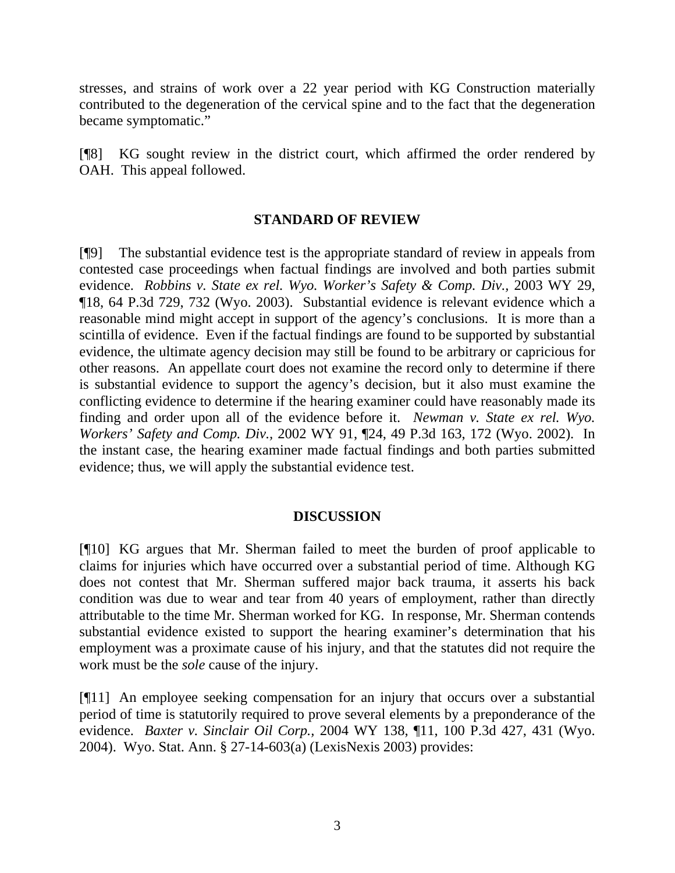stresses, and strains of work over a 22 year period with KG Construction materially contributed to the degeneration of the cervical spine and to the fact that the degeneration became symptomatic."

[¶8] KG sought review in the district court, which affirmed the order rendered by OAH. This appeal followed.

## **STANDARD OF REVIEW**

[¶9] The substantial evidence test is the appropriate standard of review in appeals from contested case proceedings when factual findings are involved and both parties submit evidence. *Robbins v. State ex rel. Wyo. Worker's Safety & Comp. Div., 2003 WY 29,* ¶18, 64 P.3d 729, 732 (Wyo. 2003). Substantial evidence is relevant evidence which a reasonable mind might accept in support of the agency's conclusions. It is more than a scintilla of evidence. Even if the factual findings are found to be supported by substantial evidence, the ultimate agency decision may still be found to be arbitrary or capricious for other reasons. An appellate court does not examine the record only to determine if there is substantial evidence to support the agency's decision, but it also must examine the conflicting evidence to determine if the hearing examiner could have reasonably made its finding and order upon all of the evidence before it. *Newman v. State ex rel. Wyo. Workers' Safety and Comp. Div.,* 2002 WY 91, ¶24, 49 P.3d 163, 172 (Wyo. 2002). In the instant case, the hearing examiner made factual findings and both parties submitted evidence; thus, we will apply the substantial evidence test.

## **DISCUSSION**

[¶10] KG argues that Mr. Sherman failed to meet the burden of proof applicable to claims for injuries which have occurred over a substantial period of time. Although KG does not contest that Mr. Sherman suffered major back trauma, it asserts his back condition was due to wear and tear from 40 years of employment, rather than directly attributable to the time Mr. Sherman worked for KG. In response, Mr. Sherman contends substantial evidence existed to support the hearing examiner's determination that his employment was a proximate cause of his injury, and that the statutes did not require the work must be the *sole* cause of the injury.

[¶11] An employee seeking compensation for an injury that occurs over a substantial period of time is statutorily required to prove several elements by a preponderance of the evidence. *Baxter v. Sinclair Oil Corp.,* 2004 WY 138, ¶11, 100 P.3d 427, 431 (Wyo. 2004). Wyo. Stat. Ann. § 27-14-603(a) (LexisNexis 2003) provides: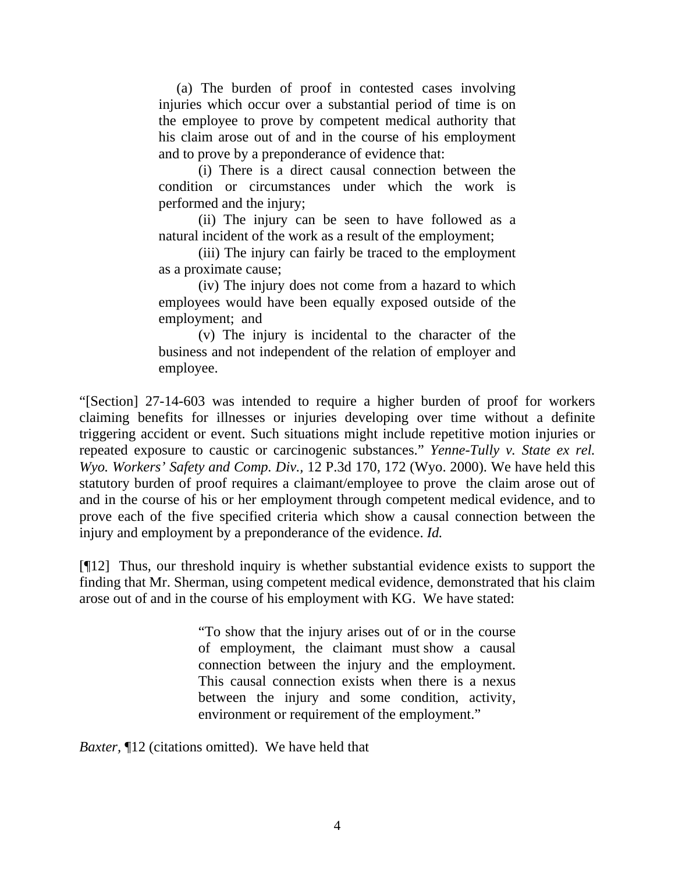(a) The burden of proof in contested cases involving injuries which occur over a substantial period of time is on the employee to prove by competent medical authority that his claim arose out of and in the course of his employment and to prove by a preponderance of evidence that:

(i) There is a direct causal connection between the condition or circumstances under which the work is performed and the injury;

(ii) The injury can be seen to have followed as a natural incident of the work as a result of the employment;

(iii) The injury can fairly be traced to the employment as a proximate cause;

(iv) The injury does not come from a hazard to which employees would have been equally exposed outside of the employment; and

(v) The injury is incidental to the character of the business and not independent of the relation of employer and employee.

"[Section] 27-14-603 was intended to require a higher burden of proof for workers claiming benefits for illnesses or injuries developing over time without a definite triggering accident or event. Such situations might include repetitive motion injuries or repeated exposure to caustic or carcinogenic substances." *Yenne-Tully v. State ex rel. Wyo. Workers' Safety and Comp. Div.,* 12 P.3d 170, 172 (Wyo. 2000). We have held this statutory burden of proof requires a claimant/employee to prove the claim arose out of and in the course of his or her employment through competent medical evidence, and to prove each of the five specified criteria which show a causal connection between the injury and employment by a preponderance of the evidence. *Id.* 

[¶12] Thus, our threshold inquiry is whether substantial evidence exists to support the finding that Mr. Sherman, using competent medical evidence, demonstrated that his claim arose out of and in the course of his employment with KG. We have stated:

> "To show that the injury arises out of or in the course of employment, the claimant must show a causal connection between the injury and the employment. This causal connection exists when there is a nexus between the injury and some condition, activity, environment or requirement of the employment."

*Baxter,* ¶12 (citations omitted). We have held that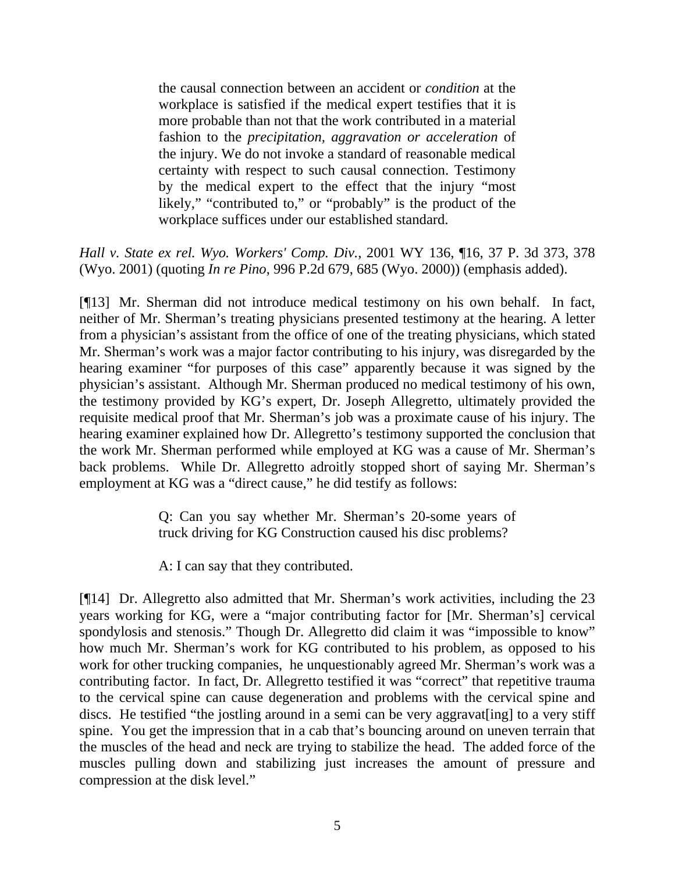the causal connection between an accident or *condition* at the workplace is satisfied if the medical expert testifies that it is more probable than not that the work contributed in a material fashion to the *precipitation, aggravation or acceleration* of the injury. We do not invoke a standard of reasonable medical certainty with respect to such causal connection. Testimony by the medical expert to the effect that the injury "most likely," "contributed to," or "probably" is the product of the workplace suffices under our established standard.

*Hall v. State ex rel. Wyo. Workers' Comp. Div.*, 2001 WY 136, ¶16, 37 P. 3d 373, 378 (Wyo. 2001) (quoting *In re Pino*, 996 P.2d 679, 685 (Wyo. 2000)) (emphasis added).

[¶13] Mr. Sherman did not introduce medical testimony on his own behalf. In fact, neither of Mr. Sherman's treating physicians presented testimony at the hearing. A letter from a physician's assistant from the office of one of the treating physicians, which stated Mr. Sherman's work was a major factor contributing to his injury, was disregarded by the hearing examiner "for purposes of this case" apparently because it was signed by the physician's assistant. Although Mr. Sherman produced no medical testimony of his own, the testimony provided by KG's expert, Dr. Joseph Allegretto, ultimately provided the requisite medical proof that Mr. Sherman's job was a proximate cause of his injury. The hearing examiner explained how Dr. Allegretto's testimony supported the conclusion that the work Mr. Sherman performed while employed at KG was a cause of Mr. Sherman's back problems. While Dr. Allegretto adroitly stopped short of saying Mr. Sherman's employment at KG was a "direct cause," he did testify as follows:

> Q: Can you say whether Mr. Sherman's 20-some years of truck driving for KG Construction caused his disc problems?

A: I can say that they contributed.

[¶14] Dr. Allegretto also admitted that Mr. Sherman's work activities, including the 23 years working for KG, were a "major contributing factor for [Mr. Sherman's] cervical spondylosis and stenosis." Though Dr. Allegretto did claim it was "impossible to know" how much Mr. Sherman's work for KG contributed to his problem, as opposed to his work for other trucking companies, he unquestionably agreed Mr. Sherman's work was a contributing factor. In fact, Dr. Allegretto testified it was "correct" that repetitive trauma to the cervical spine can cause degeneration and problems with the cervical spine and discs. He testified "the jostling around in a semi can be very aggravat[ing] to a very stiff spine. You get the impression that in a cab that's bouncing around on uneven terrain that the muscles of the head and neck are trying to stabilize the head. The added force of the muscles pulling down and stabilizing just increases the amount of pressure and compression at the disk level."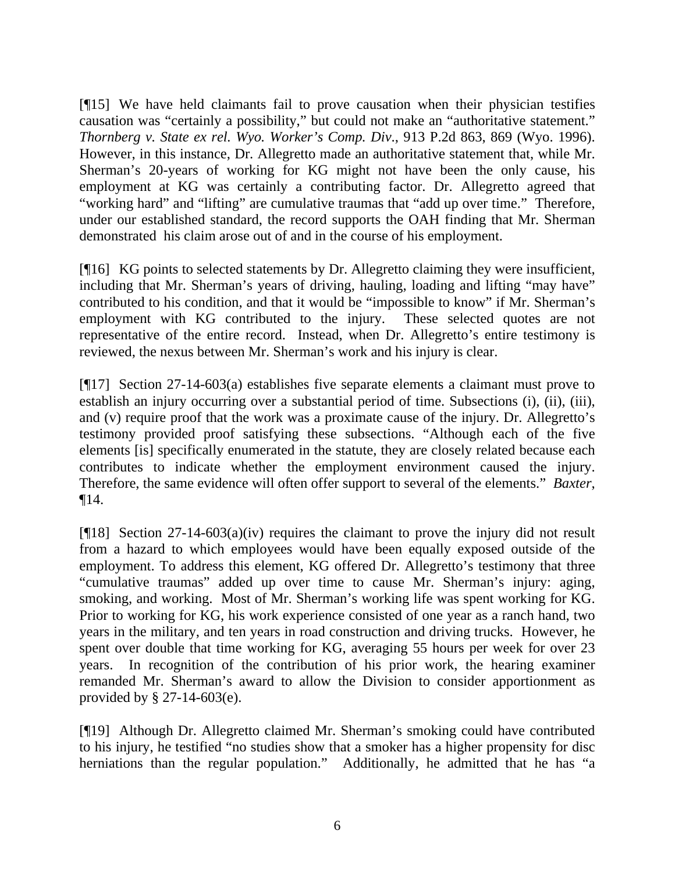[¶15] We have held claimants fail to prove causation when their physician testifies causation was "certainly a possibility," but could not make an "authoritative statement." *Thornberg v. State ex rel. Wyo. Worker's Comp. Div*., 913 P.2d 863, 869 (Wyo. 1996). However, in this instance, Dr. Allegretto made an authoritative statement that, while Mr. Sherman's 20-years of working for KG might not have been the only cause, his employment at KG was certainly a contributing factor. Dr. Allegretto agreed that "working hard" and "lifting" are cumulative traumas that "add up over time." Therefore, under our established standard, the record supports the OAH finding that Mr. Sherman demonstrated his claim arose out of and in the course of his employment.

[¶16] KG points to selected statements by Dr. Allegretto claiming they were insufficient, including that Mr. Sherman's years of driving, hauling, loading and lifting "may have" contributed to his condition, and that it would be "impossible to know" if Mr. Sherman's employment with KG contributed to the injury. These selected quotes are not representative of the entire record. Instead, when Dr. Allegretto's entire testimony is reviewed, the nexus between Mr. Sherman's work and his injury is clear.

[¶17] Section 27-14-603(a) establishes five separate elements a claimant must prove to establish an injury occurring over a substantial period of time. Subsections (i), (ii), (iii), and (v) require proof that the work was a proximate cause of the injury. Dr. Allegretto's testimony provided proof satisfying these subsections. "Although each of the five elements [is] specifically enumerated in the statute, they are closely related because each contributes to indicate whether the employment environment caused the injury. Therefore, the same evidence will often offer support to several of the elements." *Baxter*, ¶14.

[¶18] Section 27-14-603(a)(iv) requires the claimant to prove the injury did not result from a hazard to which employees would have been equally exposed outside of the employment. To address this element, KG offered Dr. Allegretto's testimony that three "cumulative traumas" added up over time to cause Mr. Sherman's injury: aging, smoking, and working. Most of Mr. Sherman's working life was spent working for KG. Prior to working for KG, his work experience consisted of one year as a ranch hand, two years in the military, and ten years in road construction and driving trucks. However, he spent over double that time working for KG, averaging 55 hours per week for over 23 years. In recognition of the contribution of his prior work, the hearing examiner remanded Mr. Sherman's award to allow the Division to consider apportionment as provided by § 27-14-603(e).

[¶19] Although Dr. Allegretto claimed Mr. Sherman's smoking could have contributed to his injury, he testified "no studies show that a smoker has a higher propensity for disc herniations than the regular population." Additionally, he admitted that he has "a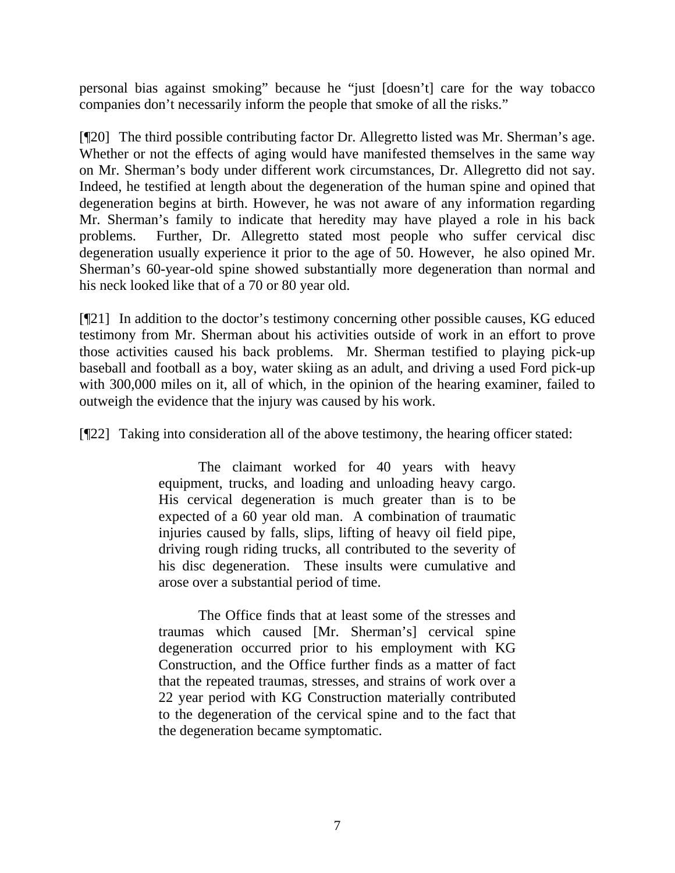personal bias against smoking" because he "just [doesn't] care for the way tobacco companies don't necessarily inform the people that smoke of all the risks."

[¶20] The third possible contributing factor Dr. Allegretto listed was Mr. Sherman's age. Whether or not the effects of aging would have manifested themselves in the same way on Mr. Sherman's body under different work circumstances, Dr. Allegretto did not say. Indeed, he testified at length about the degeneration of the human spine and opined that degeneration begins at birth. However, he was not aware of any information regarding Mr. Sherman's family to indicate that heredity may have played a role in his back problems. Further, Dr. Allegretto stated most people who suffer cervical disc degeneration usually experience it prior to the age of 50. However, he also opined Mr. Sherman's 60-year-old spine showed substantially more degeneration than normal and his neck looked like that of a 70 or 80 year old.

[¶21] In addition to the doctor's testimony concerning other possible causes, KG educed testimony from Mr. Sherman about his activities outside of work in an effort to prove those activities caused his back problems. Mr. Sherman testified to playing pick-up baseball and football as a boy, water skiing as an adult, and driving a used Ford pick-up with 300,000 miles on it, all of which, in the opinion of the hearing examiner, failed to outweigh the evidence that the injury was caused by his work.

[¶22] Taking into consideration all of the above testimony, the hearing officer stated:

The claimant worked for 40 years with heavy equipment, trucks, and loading and unloading heavy cargo. His cervical degeneration is much greater than is to be expected of a 60 year old man. A combination of traumatic injuries caused by falls, slips, lifting of heavy oil field pipe, driving rough riding trucks, all contributed to the severity of his disc degeneration. These insults were cumulative and arose over a substantial period of time.

The Office finds that at least some of the stresses and traumas which caused [Mr. Sherman's] cervical spine degeneration occurred prior to his employment with KG Construction, and the Office further finds as a matter of fact that the repeated traumas, stresses, and strains of work over a 22 year period with KG Construction materially contributed to the degeneration of the cervical spine and to the fact that the degeneration became symptomatic.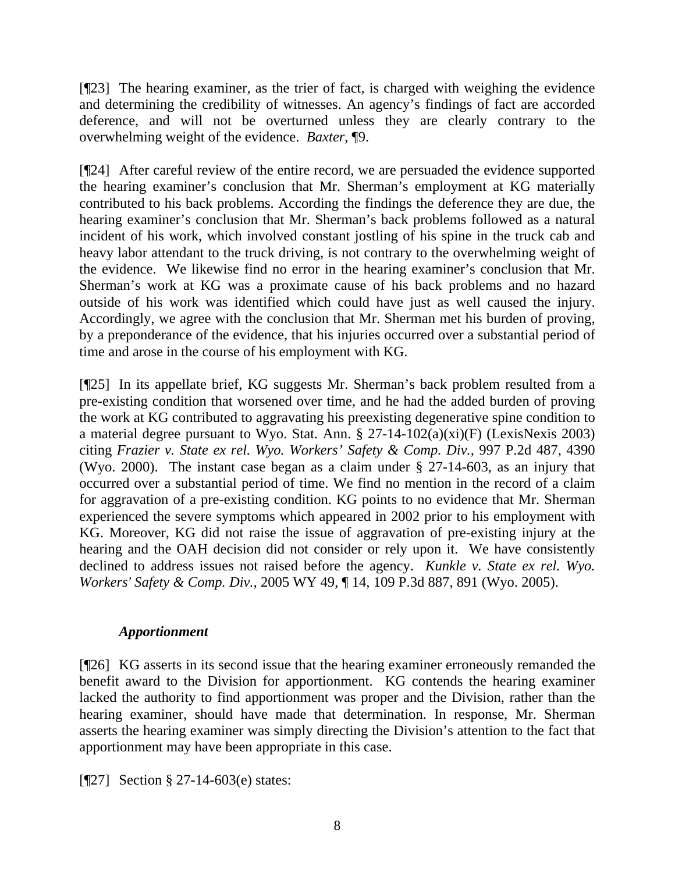[¶23] The hearing examiner, as the trier of fact, is charged with weighing the evidence and determining the credibility of witnesses. An agency's findings of fact are accorded deference, and will not be overturned unless they are clearly contrary to the overwhelming weight of the evidence. *Baxter*, ¶9.

[¶24] After careful review of the entire record, we are persuaded the evidence supported the hearing examiner's conclusion that Mr. Sherman's employment at KG materially contributed to his back problems. According the findings the deference they are due, the hearing examiner's conclusion that Mr. Sherman's back problems followed as a natural incident of his work, which involved constant jostling of his spine in the truck cab and heavy labor attendant to the truck driving, is not contrary to the overwhelming weight of the evidence. We likewise find no error in the hearing examiner's conclusion that Mr. Sherman's work at KG was a proximate cause of his back problems and no hazard outside of his work was identified which could have just as well caused the injury. Accordingly, we agree with the conclusion that Mr. Sherman met his burden of proving, by a preponderance of the evidence, that his injuries occurred over a substantial period of time and arose in the course of his employment with KG.

[¶25] In its appellate brief, KG suggests Mr. Sherman's back problem resulted from a pre-existing condition that worsened over time, and he had the added burden of proving the work at KG contributed to aggravating his preexisting degenerative spine condition to a material degree pursuant to Wyo. Stat. Ann. § 27-14-102(a)(xi)(F) (LexisNexis 2003) citing *Frazier v. State ex rel. Wyo. Workers' Safety & Comp. Div.,* 997 P.2d 487, 4390 (Wyo. 2000). The instant case began as a claim under § 27-14-603, as an injury that occurred over a substantial period of time. We find no mention in the record of a claim for aggravation of a pre-existing condition. KG points to no evidence that Mr. Sherman experienced the severe symptoms which appeared in 2002 prior to his employment with KG. Moreover, KG did not raise the issue of aggravation of pre-existing injury at the hearing and the OAH decision did not consider or rely upon it. We have consistently declined to address issues not raised before the agency. *Kunkle v. State ex rel. Wyo. Workers' Safety & Comp. Div.,* 2005 WY 49, ¶ 14, 109 P.3d 887, 891 (Wyo. 2005).

## *Apportionment*

[¶26] KG asserts in its second issue that the hearing examiner erroneously remanded the benefit award to the Division for apportionment. KG contends the hearing examiner lacked the authority to find apportionment was proper and the Division, rather than the hearing examiner, should have made that determination. In response, Mr. Sherman asserts the hearing examiner was simply directing the Division's attention to the fact that apportionment may have been appropriate in this case.

[¶27] Section § 27-14-603(e) states: